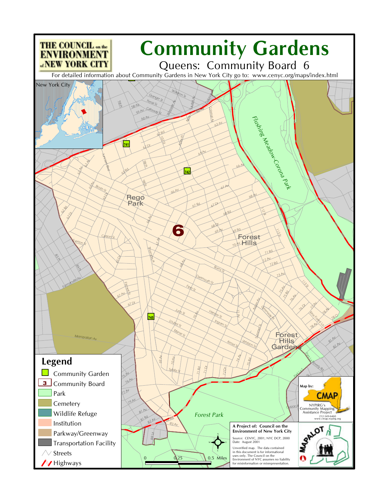